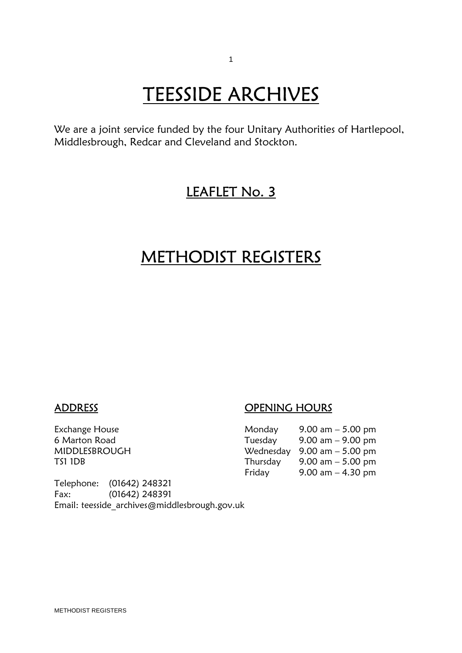# **TEESSIDE ARCHIVES**<br>We are a joint service funded by the four Unitary Authorities of Hartlepool,

Middlesbrough, Redcar and Cleveland and Stockton.

## LEAFLET No. 3

## METHODIST REGISTERS

ADDRESS OPENING HOURS

| Exchange House | Monday   | 9.00 am $-$ 5.00 pm                           |
|----------------|----------|-----------------------------------------------|
| 6 Marton Road  | Tuesday  | $9.00$ am $ 9.00$ pm                          |
| MIDDLESBROUGH  |          | Wednesday $9.00 \text{ am} - 5.00 \text{ pm}$ |
| TS1 1DB        | Thursday | 9.00 am $-$ 5.00 pm                           |
|                | Friday   | 9.00 am $-$ 4.30 pm                           |

Telephone: (01642) 248321 Fax: (01642) 248391 Email: teesside\_archives@middlesbrough.gov.uk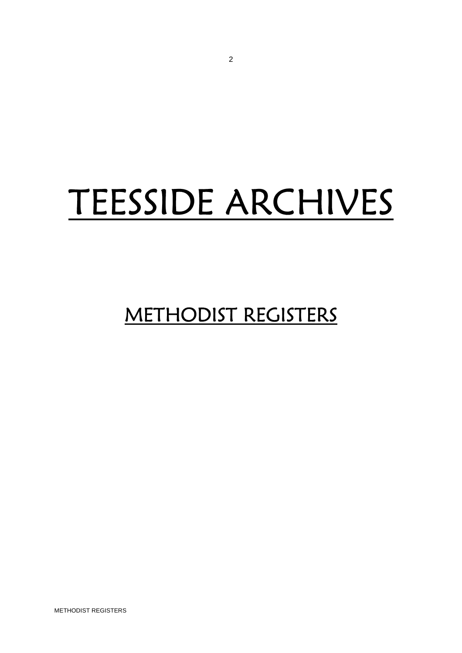## TEESSIDE ARCHIVES

## METHODIST REGISTERS

METHODIST REGISTERS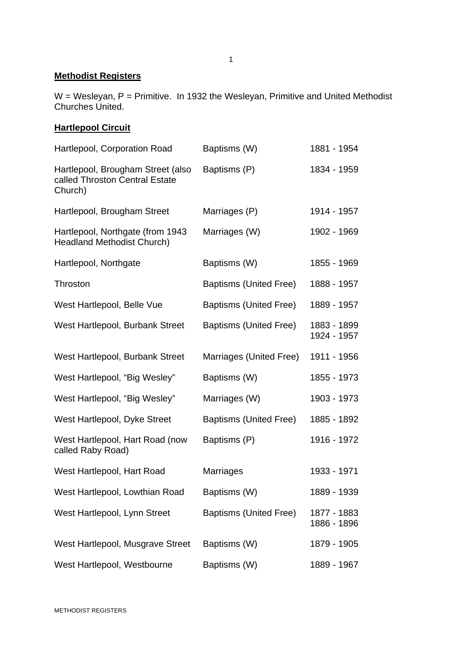#### **Methodist Registers**

W = Wesleyan, P = Primitive. In 1932 the Wesleyan, Primitive and United Methodist Churches United.

### **Hartlepool Circuit**

| Hartlepool, Corporation Road                                                   | Baptisms (W)                  | 1881 - 1954                |
|--------------------------------------------------------------------------------|-------------------------------|----------------------------|
| Hartlepool, Brougham Street (also<br>called Throston Central Estate<br>Church) | Baptisms (P)                  | 1834 - 1959                |
| Hartlepool, Brougham Street                                                    | Marriages (P)                 | 1914 - 1957                |
| Hartlepool, Northgate (from 1943<br><b>Headland Methodist Church)</b>          | Marriages (W)                 | 1902 - 1969                |
| Hartlepool, Northgate                                                          | Baptisms (W)                  | 1855 - 1969                |
| Throston                                                                       | <b>Baptisms (United Free)</b> | 1888 - 1957                |
| West Hartlepool, Belle Vue                                                     | <b>Baptisms (United Free)</b> | 1889 - 1957                |
| West Hartlepool, Burbank Street                                                | <b>Baptisms (United Free)</b> | 1883 - 1899<br>1924 - 1957 |
| West Hartlepool, Burbank Street                                                | Marriages (United Free)       | 1911 - 1956                |
| West Hartlepool, "Big Wesley"                                                  | Baptisms (W)                  | 1855 - 1973                |
| West Hartlepool, "Big Wesley"                                                  | Marriages (W)                 | 1903 - 1973                |
| West Hartlepool, Dyke Street                                                   | <b>Baptisms (United Free)</b> | 1885 - 1892                |
| West Hartlepool, Hart Road (now<br>called Raby Road)                           | Baptisms (P)                  | 1916 - 1972                |
| West Hartlepool, Hart Road                                                     | Marriages                     | 1933 - 1971                |
| West Hartlepool, Lowthian Road                                                 | Baptisms (W)                  | 1889 - 1939                |
| West Hartlepool, Lynn Street                                                   | <b>Baptisms (United Free)</b> | 1877 - 1883<br>1886 - 1896 |
| West Hartlepool, Musgrave Street                                               | Baptisms (W)                  | 1879 - 1905                |
| West Hartlepool, Westbourne                                                    | Baptisms (W)                  | 1889 - 1967                |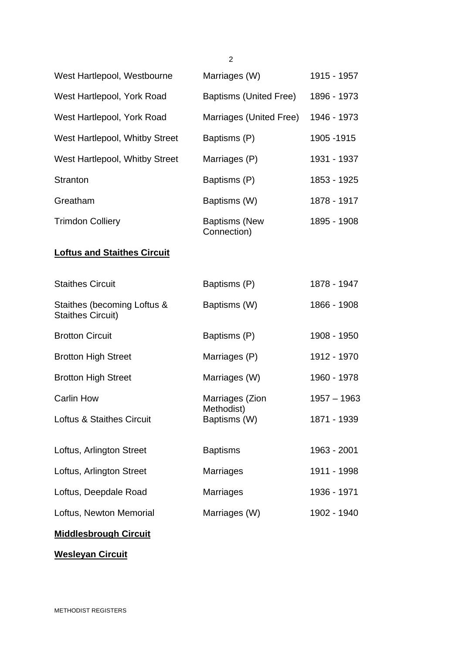|                                                         | $\overline{2}$                      |               |
|---------------------------------------------------------|-------------------------------------|---------------|
| West Hartlepool, Westbourne                             | Marriages (W)                       | 1915 - 1957   |
| West Hartlepool, York Road                              | Baptisms (United Free)              | 1896 - 1973   |
| West Hartlepool, York Road                              | Marriages (United Free)             | 1946 - 1973   |
| West Hartlepool, Whitby Street                          | Baptisms (P)                        | 1905 - 1915   |
| West Hartlepool, Whitby Street                          | Marriages (P)                       | 1931 - 1937   |
| Stranton                                                | Baptisms (P)                        | 1853 - 1925   |
| Greatham                                                | Baptisms (W)                        | 1878 - 1917   |
| <b>Trimdon Colliery</b>                                 | <b>Baptisms (New</b><br>Connection) | 1895 - 1908   |
| <b>Loftus and Staithes Circuit</b>                      |                                     |               |
| <b>Staithes Circuit</b>                                 | Baptisms (P)                        | 1878 - 1947   |
| Staithes (becoming Loftus &<br><b>Staithes Circuit)</b> | Baptisms (W)                        | 1866 - 1908   |
| <b>Brotton Circuit</b>                                  | Baptisms (P)                        | 1908 - 1950   |
| <b>Brotton High Street</b>                              | Marriages (P)                       | 1912 - 1970   |
| <b>Brotton High Street</b>                              | Marriages (W)                       | 1960 - 1978   |
| Carlin How                                              | Marriages (Zion                     | $1957 - 1963$ |
| <b>Loftus &amp; Staithes Circuit</b>                    | Methodist)<br>Baptisms (W)          | 1871 - 1939   |
| Loftus, Arlington Street                                | <b>Baptisms</b>                     | 1963 - 2001   |
| Loftus, Arlington Street                                | <b>Marriages</b>                    | 1911 - 1998   |
| Loftus, Deepdale Road                                   | <b>Marriages</b>                    | 1936 - 1971   |
| Loftus, Newton Memorial                                 | Marriages (W)                       | 1902 - 1940   |
|                                                         |                                     |               |

## **Middlesbrough Circuit**

**Wesleyan Circuit**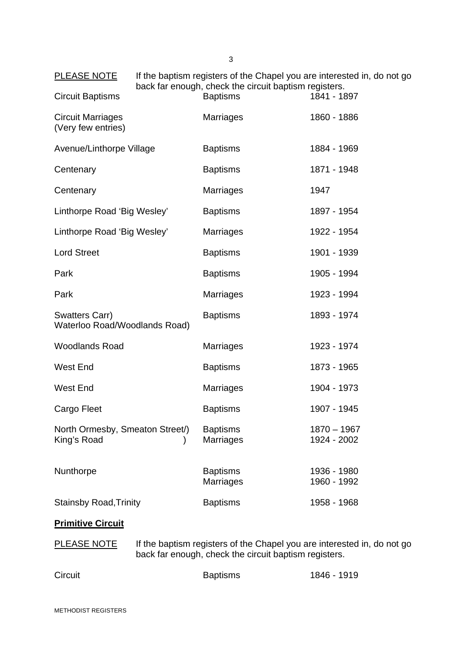| <b>PLEASE NOTE</b>                              | If the baptism registers of the Chapel you are interested in, do not go<br>back far enough, check the circuit baptism registers. |                                     |                                                                         |
|-------------------------------------------------|----------------------------------------------------------------------------------------------------------------------------------|-------------------------------------|-------------------------------------------------------------------------|
| <b>Circuit Baptisms</b>                         |                                                                                                                                  | <b>Baptisms</b>                     | 1841 - 1897                                                             |
| <b>Circuit Marriages</b><br>(Very few entries)  |                                                                                                                                  | <b>Marriages</b>                    | 1860 - 1886                                                             |
| Avenue/Linthorpe Village                        |                                                                                                                                  | <b>Baptisms</b>                     | 1884 - 1969                                                             |
| Centenary                                       |                                                                                                                                  | <b>Baptisms</b>                     | 1871 - 1948                                                             |
| Centenary                                       |                                                                                                                                  | <b>Marriages</b>                    | 1947                                                                    |
| Linthorpe Road 'Big Wesley'                     |                                                                                                                                  | <b>Baptisms</b>                     | 1897 - 1954                                                             |
| Linthorpe Road 'Big Wesley'                     |                                                                                                                                  | <b>Marriages</b>                    | 1922 - 1954                                                             |
| <b>Lord Street</b>                              |                                                                                                                                  | <b>Baptisms</b>                     | 1901 - 1939                                                             |
| Park                                            |                                                                                                                                  | <b>Baptisms</b>                     | 1905 - 1994                                                             |
| Park                                            |                                                                                                                                  | <b>Marriages</b>                    | 1923 - 1994                                                             |
| Swatters Carr)<br>Waterloo Road/Woodlands Road) |                                                                                                                                  | <b>Baptisms</b>                     | 1893 - 1974                                                             |
| <b>Woodlands Road</b>                           |                                                                                                                                  | <b>Marriages</b>                    | 1923 - 1974                                                             |
| <b>West End</b>                                 |                                                                                                                                  | <b>Baptisms</b>                     | 1873 - 1965                                                             |
| West End                                        |                                                                                                                                  | <b>Marriages</b>                    | 1904 - 1973                                                             |
| Cargo Fleet                                     |                                                                                                                                  | <b>Baptisms</b>                     | 1907 - 1945                                                             |
| North Ormesby, Smeaton Street/)<br>King's Road  |                                                                                                                                  | <b>Baptisms</b><br><b>Marriages</b> | $1870 - 1967$<br>1924 - 2002                                            |
| Nunthorpe                                       |                                                                                                                                  | <b>Baptisms</b><br><b>Marriages</b> | 1936 - 1980<br>1960 - 1992                                              |
| <b>Stainsby Road, Trinity</b>                   |                                                                                                                                  | <b>Baptisms</b>                     | 1958 - 1968                                                             |
| <b>Primitive Circuit</b>                        |                                                                                                                                  |                                     |                                                                         |
| <b>PLEASE NOTE</b>                              |                                                                                                                                  |                                     | If the baptism registers of the Chapel you are interested in, do not go |

PLEASE NOTE If the baptism registers of the Chapel you are interested in, do not go back far enough, check the circuit baptism registers.

| Circuit | <b>Baptisms</b> | 1846 - 1919 |
|---------|-----------------|-------------|
|         |                 |             |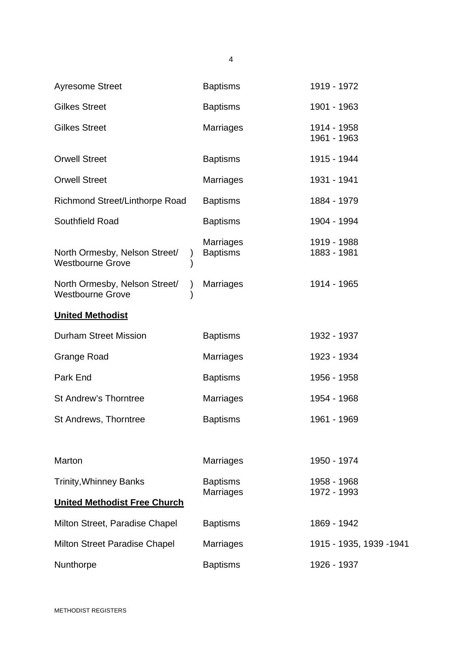| <b>Ayresome Street</b>                                                | <b>Baptisms</b>                     | 1919 - 1972                |
|-----------------------------------------------------------------------|-------------------------------------|----------------------------|
| <b>Gilkes Street</b>                                                  | <b>Baptisms</b>                     | 1901 - 1963                |
| <b>Gilkes Street</b>                                                  | Marriages                           | 1914 - 1958<br>1961 - 1963 |
| <b>Orwell Street</b>                                                  | <b>Baptisms</b>                     | 1915 - 1944                |
| <b>Orwell Street</b>                                                  | Marriages                           | 1931 - 1941                |
| Richmond Street/Linthorpe Road                                        | <b>Baptisms</b>                     | 1884 - 1979                |
| Southfield Road                                                       | <b>Baptisms</b>                     | 1904 - 1994                |
| North Ormesby, Nelson Street/<br><b>Westbourne Grove</b>              | <b>Marriages</b><br><b>Baptisms</b> | 1919 - 1988<br>1883 - 1981 |
| North Ormesby, Nelson Street/<br>$\lambda$<br><b>Westbourne Grove</b> | <b>Marriages</b>                    | 1914 - 1965                |
| <b>United Methodist</b>                                               |                                     |                            |
| <b>Durham Street Mission</b>                                          | <b>Baptisms</b>                     | 1932 - 1937                |
| <b>Grange Road</b>                                                    | Marriages                           | 1923 - 1934                |
| Park End                                                              | <b>Baptisms</b>                     | 1956 - 1958                |
| <b>St Andrew's Thorntree</b>                                          | Marriages                           | 1954 - 1968                |
| St Andrews, Thorntree                                                 | <b>Baptisms</b>                     | 1961 - 1969                |
|                                                                       |                                     |                            |
| Marton                                                                | <b>Marriages</b>                    | 1950 - 1974                |
| <b>Trinity, Whinney Banks</b>                                         | <b>Baptisms</b><br><b>Marriages</b> | 1958 - 1968<br>1972 - 1993 |
| <b>United Methodist Free Church</b>                                   |                                     |                            |
| Milton Street, Paradise Chapel                                        | <b>Baptisms</b>                     | 1869 - 1942                |
|                                                                       |                                     |                            |
| <b>Milton Street Paradise Chapel</b>                                  | <b>Marriages</b>                    | 1915 - 1935, 1939 -1941    |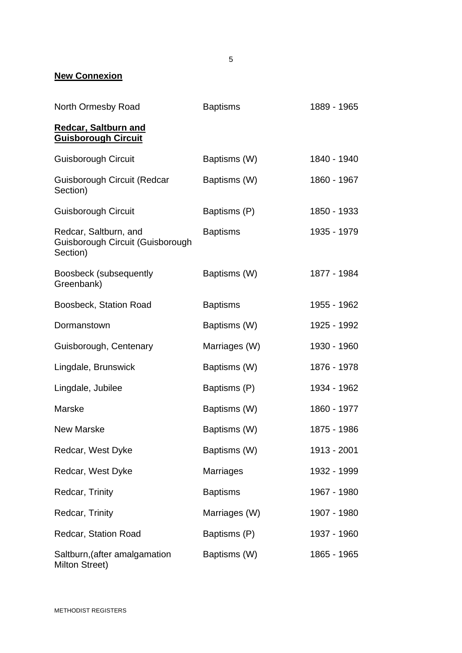### **New Connexion**

| North Ormesby Road                                                    | <b>Baptisms</b>  | 1889 - 1965 |
|-----------------------------------------------------------------------|------------------|-------------|
| <b>Redcar, Saltburn and</b><br><b>Guisborough Circuit</b>             |                  |             |
| <b>Guisborough Circuit</b>                                            | Baptisms (W)     | 1840 - 1940 |
| Guisborough Circuit (Redcar<br>Section)                               | Baptisms (W)     | 1860 - 1967 |
| <b>Guisborough Circuit</b>                                            | Baptisms (P)     | 1850 - 1933 |
| Redcar, Saltburn, and<br>Guisborough Circuit (Guisborough<br>Section) | <b>Baptisms</b>  | 1935 - 1979 |
| Boosbeck (subsequently<br>Greenbank)                                  | Baptisms (W)     | 1877 - 1984 |
| Boosbeck, Station Road                                                | <b>Baptisms</b>  | 1955 - 1962 |
| Dormanstown                                                           | Baptisms (W)     | 1925 - 1992 |
| Guisborough, Centenary                                                | Marriages (W)    | 1930 - 1960 |
| Lingdale, Brunswick                                                   | Baptisms (W)     | 1876 - 1978 |
| Lingdale, Jubilee                                                     | Baptisms (P)     | 1934 - 1962 |
| Marske                                                                | Baptisms (W)     | 1860 - 1977 |
| <b>New Marske</b>                                                     | Baptisms (W)     | 1875 - 1986 |
| Redcar, West Dyke                                                     | Baptisms (W)     | 1913 - 2001 |
| Redcar, West Dyke                                                     | <b>Marriages</b> | 1932 - 1999 |
| Redcar, Trinity                                                       | <b>Baptisms</b>  | 1967 - 1980 |
| Redcar, Trinity                                                       | Marriages (W)    | 1907 - 1980 |
| Redcar, Station Road                                                  | Baptisms (P)     | 1937 - 1960 |
| Saltburn, (after amalgamation<br>Milton Street)                       | Baptisms (W)     | 1865 - 1965 |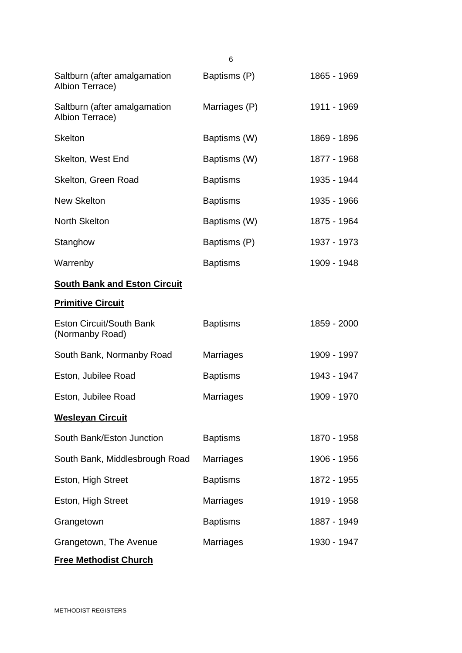|                                                    | 6                |             |
|----------------------------------------------------|------------------|-------------|
| Saltburn (after amalgamation<br>Albion Terrace)    | Baptisms (P)     | 1865 - 1969 |
| Saltburn (after amalgamation<br>Albion Terrace)    | Marriages (P)    | 1911 - 1969 |
| <b>Skelton</b>                                     | Baptisms (W)     | 1869 - 1896 |
| Skelton, West End                                  | Baptisms (W)     | 1877 - 1968 |
| Skelton, Green Road                                | <b>Baptisms</b>  | 1935 - 1944 |
| <b>New Skelton</b>                                 | <b>Baptisms</b>  | 1935 - 1966 |
| <b>North Skelton</b>                               | Baptisms (W)     | 1875 - 1964 |
| Stanghow                                           | Baptisms (P)     | 1937 - 1973 |
| Warrenby                                           | <b>Baptisms</b>  | 1909 - 1948 |
| <b>South Bank and Eston Circuit</b>                |                  |             |
| <b>Primitive Circuit</b>                           |                  |             |
| <b>Eston Circuit/South Bank</b><br>(Normanby Road) | <b>Baptisms</b>  | 1859 - 2000 |
| South Bank, Normanby Road                          | <b>Marriages</b> | 1909 - 1997 |
| Eston, Jubilee Road                                | <b>Baptisms</b>  | 1943 - 1947 |
| Eston, Jubilee Road                                | <b>Marriages</b> | 1909 - 1970 |
| <b>Wesleyan Circuit</b>                            |                  |             |
| South Bank/Eston Junction                          | <b>Baptisms</b>  | 1870 - 1958 |
| South Bank, Middlesbrough Road                     | <b>Marriages</b> | 1906 - 1956 |
| Eston, High Street                                 | <b>Baptisms</b>  | 1872 - 1955 |
| Eston, High Street                                 | <b>Marriages</b> | 1919 - 1958 |
| Grangetown                                         | <b>Baptisms</b>  | 1887 - 1949 |
| Grangetown, The Avenue                             | <b>Marriages</b> | 1930 - 1947 |
| <b>Free Methodist Church</b>                       |                  |             |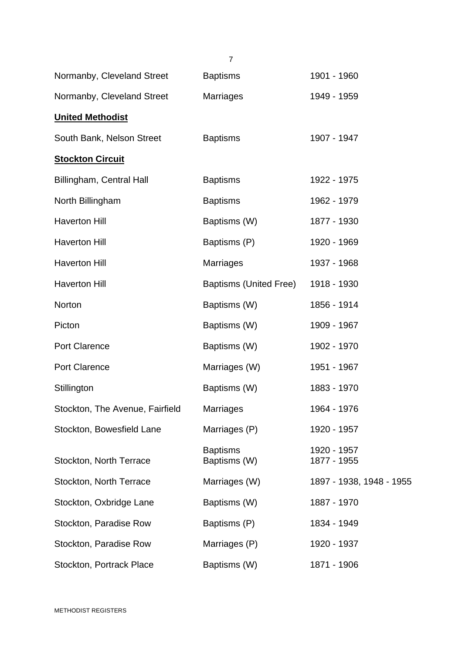|                                 | $\overline{7}$                  |                            |
|---------------------------------|---------------------------------|----------------------------|
| Normanby, Cleveland Street      | <b>Baptisms</b>                 | 1901 - 1960                |
| Normanby, Cleveland Street      | <b>Marriages</b>                | 1949 - 1959                |
| <b>United Methodist</b>         |                                 |                            |
| South Bank, Nelson Street       | <b>Baptisms</b>                 | 1907 - 1947                |
| <b>Stockton Circuit</b>         |                                 |                            |
| Billingham, Central Hall        | <b>Baptisms</b>                 | 1922 - 1975                |
| North Billingham                | <b>Baptisms</b>                 | 1962 - 1979                |
| <b>Haverton Hill</b>            | Baptisms (W)                    | 1877 - 1930                |
| <b>Haverton Hill</b>            | Baptisms (P)                    | 1920 - 1969                |
| <b>Haverton Hill</b>            | <b>Marriages</b>                | 1937 - 1968                |
| <b>Haverton Hill</b>            | Baptisms (United Free)          | 1918 - 1930                |
| Norton                          | Baptisms (W)                    | 1856 - 1914                |
| Picton                          | Baptisms (W)                    | 1909 - 1967                |
| <b>Port Clarence</b>            | Baptisms (W)                    | 1902 - 1970                |
| <b>Port Clarence</b>            | Marriages (W)                   | 1951 - 1967                |
| Stillington                     | Baptisms (W)                    | 1883 - 1970                |
| Stockton, The Avenue, Fairfield | <b>Marriages</b>                | 1964 - 1976                |
| Stockton, Bowesfield Lane       | Marriages (P)                   | 1920 - 1957                |
| Stockton, North Terrace         | <b>Baptisms</b><br>Baptisms (W) | 1920 - 1957<br>1877 - 1955 |
| Stockton, North Terrace         | Marriages (W)                   | 1897 - 1938, 1948 - 1955   |
| Stockton, Oxbridge Lane         | Baptisms (W)                    | 1887 - 1970                |
| Stockton, Paradise Row          | Baptisms (P)                    | 1834 - 1949                |
| Stockton, Paradise Row          | Marriages (P)                   | 1920 - 1937                |
| Stockton, Portrack Place        | Baptisms (W)                    | 1871 - 1906                |